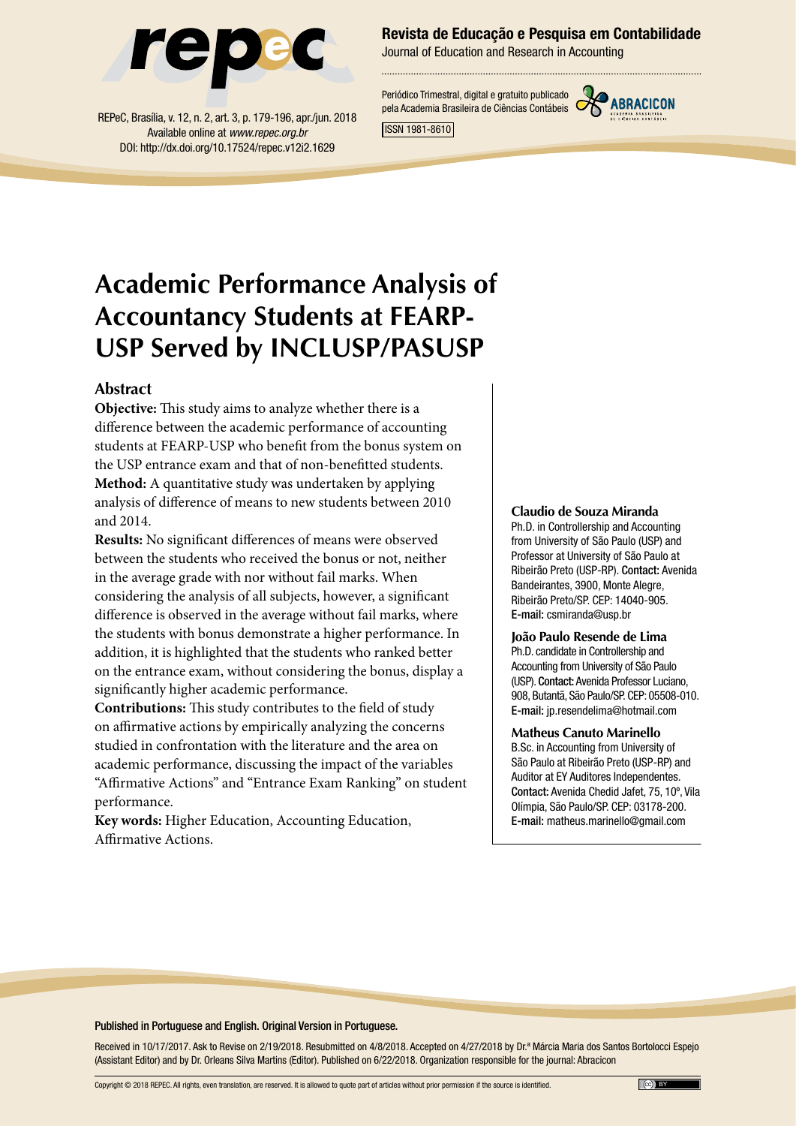

REPeC, Brasília, v. 12, n. 2, art. 3, p. 179-196, apr./jun. 2018 Available online at *www.repec.org.br* DOI: http://dx.doi.org/10.17524/repec.v12i2.1629

#### Revista de Educação e Pesquisa em Contabilidade

Journal of Education and Research in Accounting

Periódico Trimestral, digital e gratuito publicado pela Academia Brasileira de Ciências Contábeis



ISSN 1981-8610

## **Academic Performance Analysis of Accountancy Students at FEARP-USP Served by INCLUSP/PASUSP**

#### **Abstract**

**Objective:** This study aims to analyze whether there is a difference between the academic performance of accounting students at FEARP-USP who benefit from the bonus system on the USP entrance exam and that of non-benefitted students. **Method:** A quantitative study was undertaken by applying analysis of difference of means to new students between 2010 and 2014.

**Results:** No significant differences of means were observed between the students who received the bonus or not, neither in the average grade with nor without fail marks. When considering the analysis of all subjects, however, a significant difference is observed in the average without fail marks, where the students with bonus demonstrate a higher performance. In addition, it is highlighted that the students who ranked better on the entrance exam, without considering the bonus, display a significantly higher academic performance.

**Contributions:** This study contributes to the field of study on affirmative actions by empirically analyzing the concerns studied in confrontation with the literature and the area on academic performance, discussing the impact of the variables "Affirmative Actions" and "Entrance Exam Ranking" on student performance.

**Key words:** Higher Education, Accounting Education, Affirmative Actions.

#### **Claudio de Souza Miranda**

Ph.D. in Controllership and Accounting from University of São Paulo (USP) and Professor at University of São Paulo at Ribeirão Preto (USP-RP). Contact: Avenida Bandeirantes, 3900, Monte Alegre, Ribeirão Preto/SP. CEP: 14040-905. E-mail: csmiranda@usp.br

#### **João Paulo Resende de Lima** Ph.D. candidate in Controllership and

Accounting from University of São Paulo (USP). Contact: Avenida Professor Luciano, 908, Butantã, São Paulo/SP. CEP: 05508-010. E-mail: jp.resendelima@hotmail.com

#### **Matheus Canuto Marinello**

B.Sc. in Accounting from University of São Paulo at Ribeirão Preto (USP-RP) and Auditor at EY Auditores Independentes. Contact: Avenida Chedid Jafet, 75, 10º, Vila Olímpia, São Paulo/SP. CEP: 03178-200. E-mail: matheus.marinello@gmail.com

#### Published in Portuguese and English. Original Version in Portuguese.

Received in 10/17/2017. Ask to Revise on 2/19/2018. Resubmitted on 4/8/2018. Accepted on 4/27/2018 by Dr.ª Márcia Maria dos Santos Bortolocci Espejo (Assistant Editor) and by Dr. Orleans Silva Martins (Editor). Published on 6/22/2018. Organization responsible for the journal: Abracicon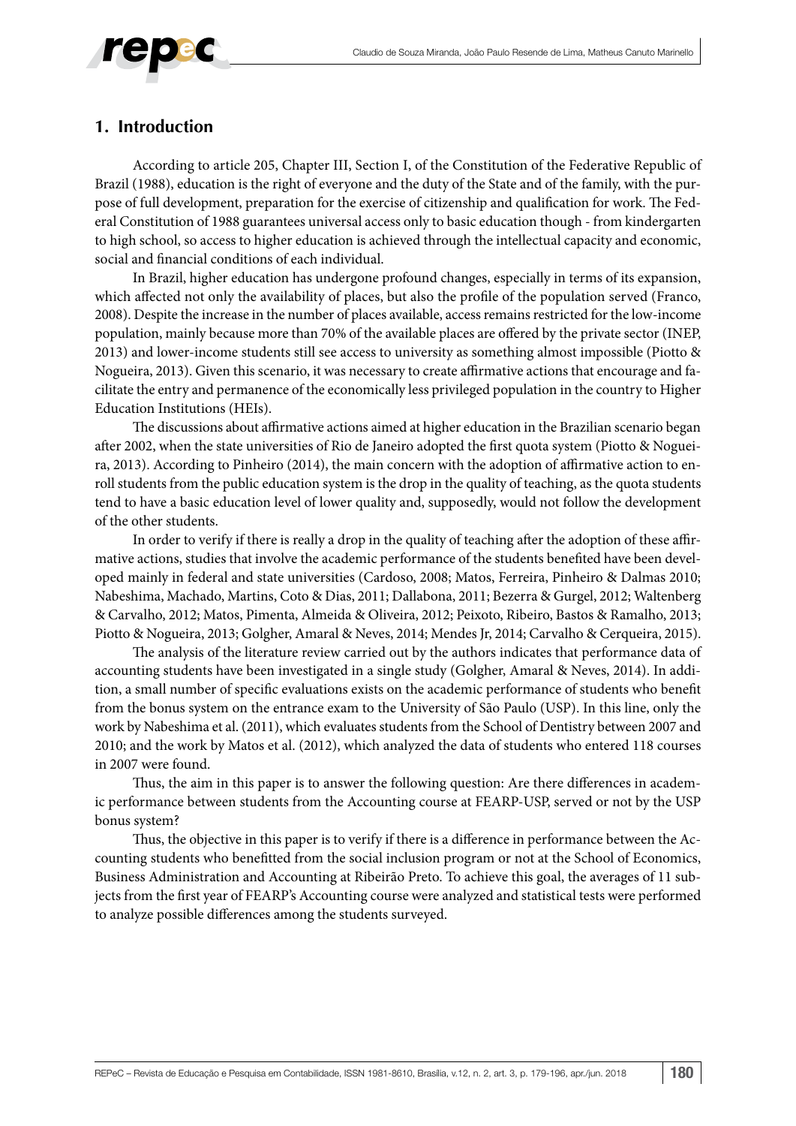

#### **1. Introduction**

According to article 205, Chapter III, Section I, of the Constitution of the Federative Republic of Brazil (1988), education is the right of everyone and the duty of the State and of the family, with the purpose of full development, preparation for the exercise of citizenship and qualification for work. The Federal Constitution of 1988 guarantees universal access only to basic education though - from kindergarten to high school, so access to higher education is achieved through the intellectual capacity and economic, social and financial conditions of each individual.

In Brazil, higher education has undergone profound changes, especially in terms of its expansion, which affected not only the availability of places, but also the profile of the population served (Franco, 2008). Despite the increase in the number of places available, access remains restricted for the low-income population, mainly because more than 70% of the available places are offered by the private sector (INEP, 2013) and lower-income students still see access to university as something almost impossible (Piotto & Nogueira, 2013). Given this scenario, it was necessary to create affirmative actions that encourage and facilitate the entry and permanence of the economically less privileged population in the country to Higher Education Institutions (HEIs).

The discussions about affirmative actions aimed at higher education in the Brazilian scenario began after 2002, when the state universities of Rio de Janeiro adopted the first quota system (Piotto & Nogueira, 2013). According to Pinheiro (2014), the main concern with the adoption of affirmative action to enroll students from the public education system is the drop in the quality of teaching, as the quota students tend to have a basic education level of lower quality and, supposedly, would not follow the development of the other students.

In order to verify if there is really a drop in the quality of teaching after the adoption of these affirmative actions, studies that involve the academic performance of the students benefited have been developed mainly in federal and state universities (Cardoso, 2008; Matos, Ferreira, Pinheiro & Dalmas 2010; Nabeshima, Machado, Martins, Coto & Dias, 2011; Dallabona, 2011; Bezerra & Gurgel, 2012; Waltenberg & Carvalho, 2012; Matos, Pimenta, Almeida & Oliveira, 2012; Peixoto, Ribeiro, Bastos & Ramalho, 2013; Piotto & Nogueira, 2013; Golgher, Amaral & Neves, 2014; Mendes Jr, 2014; Carvalho & Cerqueira, 2015).

The analysis of the literature review carried out by the authors indicates that performance data of accounting students have been investigated in a single study (Golgher, Amaral & Neves, 2014). In addition, a small number of specific evaluations exists on the academic performance of students who benefit from the bonus system on the entrance exam to the University of São Paulo (USP). In this line, only the work by Nabeshima et al. (2011), which evaluates students from the School of Dentistry between 2007 and 2010; and the work by Matos et al. (2012), which analyzed the data of students who entered 118 courses in 2007 were found.

Thus, the aim in this paper is to answer the following question: Are there differences in academic performance between students from the Accounting course at FEARP-USP, served or not by the USP bonus system?

Thus, the objective in this paper is to verify if there is a difference in performance between the Accounting students who benefitted from the social inclusion program or not at the School of Economics, Business Administration and Accounting at Ribeirão Preto. To achieve this goal, the averages of 11 subjects from the first year of FEARP's Accounting course were analyzed and statistical tests were performed to analyze possible differences among the students surveyed.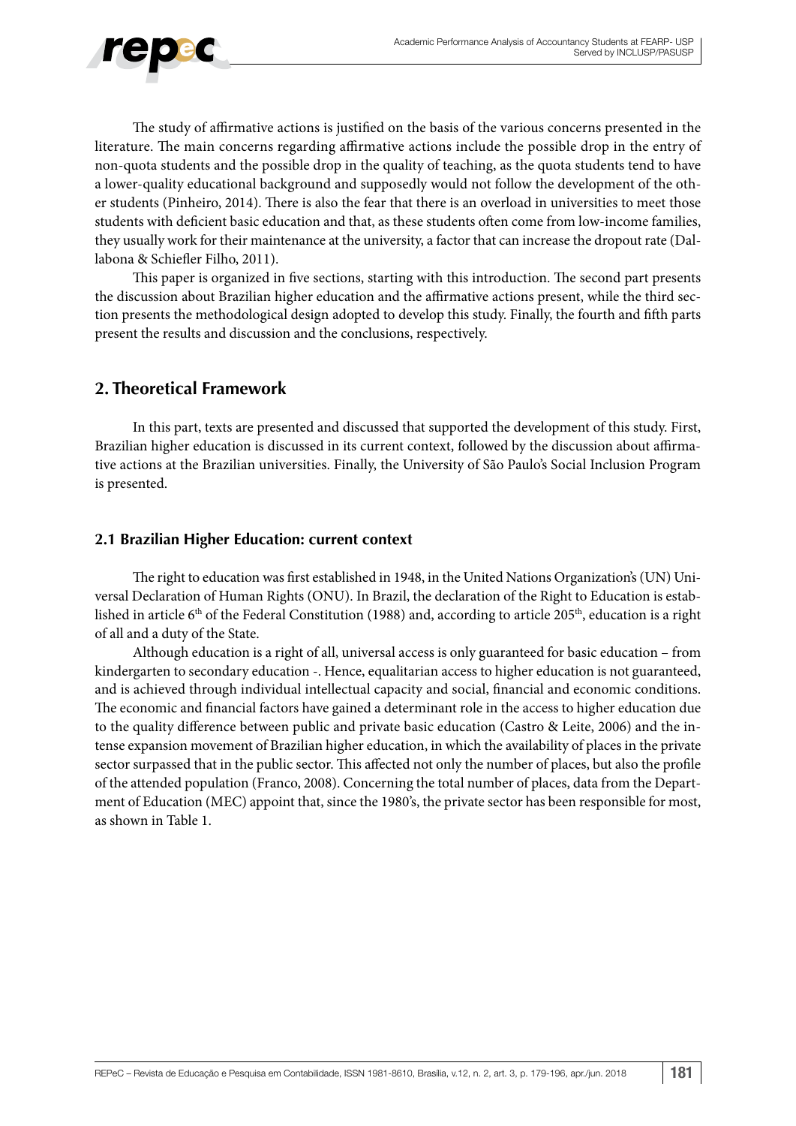

The study of affirmative actions is justified on the basis of the various concerns presented in the literature. The main concerns regarding affirmative actions include the possible drop in the entry of non-quota students and the possible drop in the quality of teaching, as the quota students tend to have a lower-quality educational background and supposedly would not follow the development of the other students (Pinheiro, 2014). There is also the fear that there is an overload in universities to meet those students with deficient basic education and that, as these students often come from low-income families, they usually work for their maintenance at the university, a factor that can increase the dropout rate (Dallabona & Schiefler Filho, 2011).

This paper is organized in five sections, starting with this introduction. The second part presents the discussion about Brazilian higher education and the affirmative actions present, while the third section presents the methodological design adopted to develop this study. Finally, the fourth and fifth parts present the results and discussion and the conclusions, respectively.

### **2. Theoretical Framework**

In this part, texts are presented and discussed that supported the development of this study. First, Brazilian higher education is discussed in its current context, followed by the discussion about affirmative actions at the Brazilian universities. Finally, the University of São Paulo's Social Inclusion Program is presented.

#### **2.1 Brazilian Higher Education: current context**

The right to education was first established in 1948, in the United Nations Organization's (UN) Universal Declaration of Human Rights (ONU). In Brazil, the declaration of the Right to Education is established in article 6<sup>th</sup> of the Federal Constitution (1988) and, according to article 205<sup>th</sup>, education is a right of all and a duty of the State.

Although education is a right of all, universal access is only guaranteed for basic education – from kindergarten to secondary education -. Hence, equalitarian access to higher education is not guaranteed, and is achieved through individual intellectual capacity and social, financial and economic conditions. The economic and financial factors have gained a determinant role in the access to higher education due to the quality difference between public and private basic education (Castro & Leite, 2006) and the intense expansion movement of Brazilian higher education, in which the availability of places in the private sector surpassed that in the public sector. This affected not only the number of places, but also the profile of the attended population (Franco, 2008). Concerning the total number of places, data from the Department of Education (MEC) appoint that, since the 1980's, the private sector has been responsible for most, as shown in Table 1.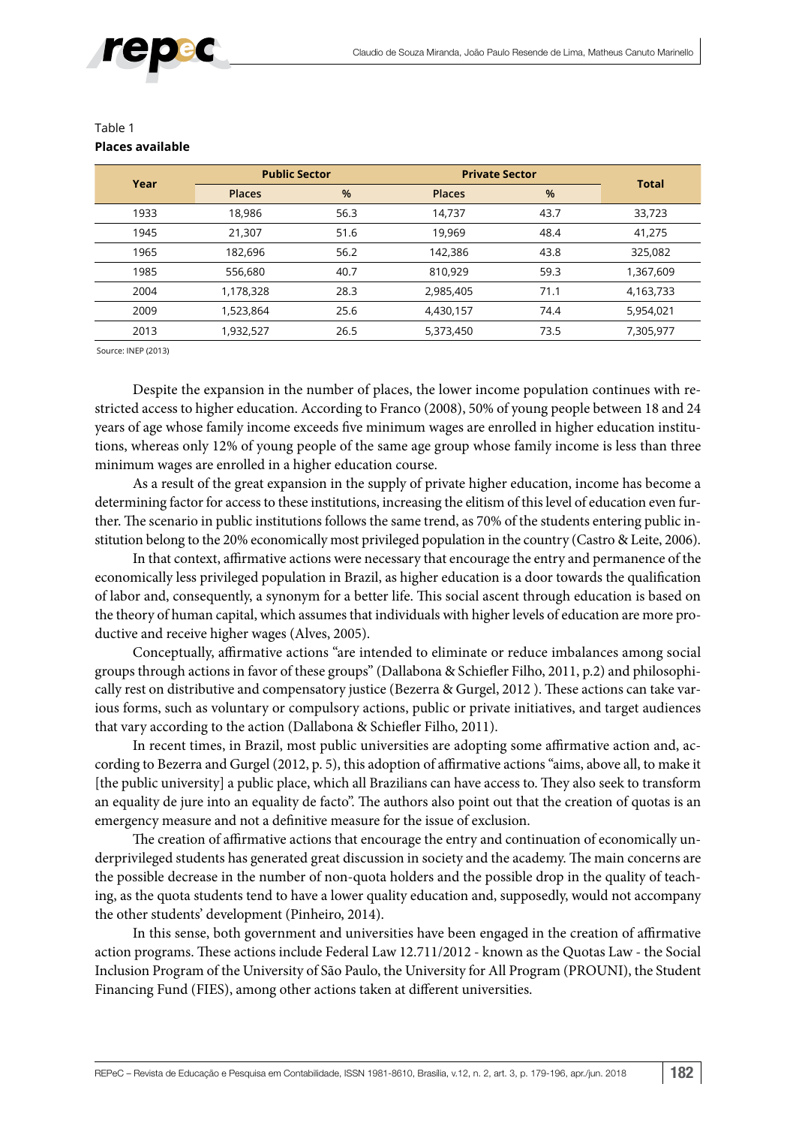

| Year | <b>Public Sector</b> |      |               | <b>Private Sector</b> |              |  |  |  |
|------|----------------------|------|---------------|-----------------------|--------------|--|--|--|
|      | <b>Places</b>        | %    | <b>Places</b> | $\frac{9}{6}$         | <b>Total</b> |  |  |  |
| 1933 | 18,986               | 56.3 | 14,737        | 43.7                  | 33,723       |  |  |  |
| 1945 | 21,307               | 51.6 | 19,969        | 48.4                  | 41,275       |  |  |  |
| 1965 | 182,696              | 56.2 | 142,386       | 43.8                  | 325,082      |  |  |  |
| 1985 | 556,680              | 40.7 | 810,929       | 59.3                  | 1,367,609    |  |  |  |
| 2004 | 1,178,328            | 28.3 | 2,985,405     | 71.1                  | 4,163,733    |  |  |  |
| 2009 | 1,523,864            | 25.6 | 4,430,157     | 74.4                  | 5,954,021    |  |  |  |
| 2013 | 1,932,527            | 26.5 | 5,373,450     | 73.5                  | 7,305,977    |  |  |  |

#### Table 1 **Places available**

Source: INEP (2013)

Despite the expansion in the number of places, the lower income population continues with restricted access to higher education. According to Franco (2008), 50% of young people between 18 and 24 years of age whose family income exceeds five minimum wages are enrolled in higher education institutions, whereas only 12% of young people of the same age group whose family income is less than three minimum wages are enrolled in a higher education course.

As a result of the great expansion in the supply of private higher education, income has become a determining factor for access to these institutions, increasing the elitism of this level of education even further. The scenario in public institutions follows the same trend, as 70% of the students entering public institution belong to the 20% economically most privileged population in the country (Castro & Leite, 2006).

In that context, affirmative actions were necessary that encourage the entry and permanence of the economically less privileged population in Brazil, as higher education is a door towards the qualification of labor and, consequently, a synonym for a better life. This social ascent through education is based on the theory of human capital, which assumes that individuals with higher levels of education are more productive and receive higher wages (Alves, 2005).

Conceptually, affirmative actions "are intended to eliminate or reduce imbalances among social groups through actions in favor of these groups" (Dallabona & Schiefler Filho, 2011, p.2) and philosophically rest on distributive and compensatory justice (Bezerra & Gurgel, 2012 ). These actions can take various forms, such as voluntary or compulsory actions, public or private initiatives, and target audiences that vary according to the action (Dallabona & Schiefler Filho, 2011).

In recent times, in Brazil, most public universities are adopting some affirmative action and, according to Bezerra and Gurgel (2012, p. 5), this adoption of affirmative actions "aims, above all, to make it [the public university] a public place, which all Brazilians can have access to. They also seek to transform an equality de jure into an equality de facto". The authors also point out that the creation of quotas is an emergency measure and not a definitive measure for the issue of exclusion.

The creation of affirmative actions that encourage the entry and continuation of economically underprivileged students has generated great discussion in society and the academy. The main concerns are the possible decrease in the number of non-quota holders and the possible drop in the quality of teaching, as the quota students tend to have a lower quality education and, supposedly, would not accompany the other students' development (Pinheiro, 2014).

In this sense, both government and universities have been engaged in the creation of affirmative action programs. These actions include Federal Law 12.711/2012 - known as the Quotas Law - the Social Inclusion Program of the University of São Paulo, the University for All Program (PROUNI), the Student Financing Fund (FIES), among other actions taken at different universities.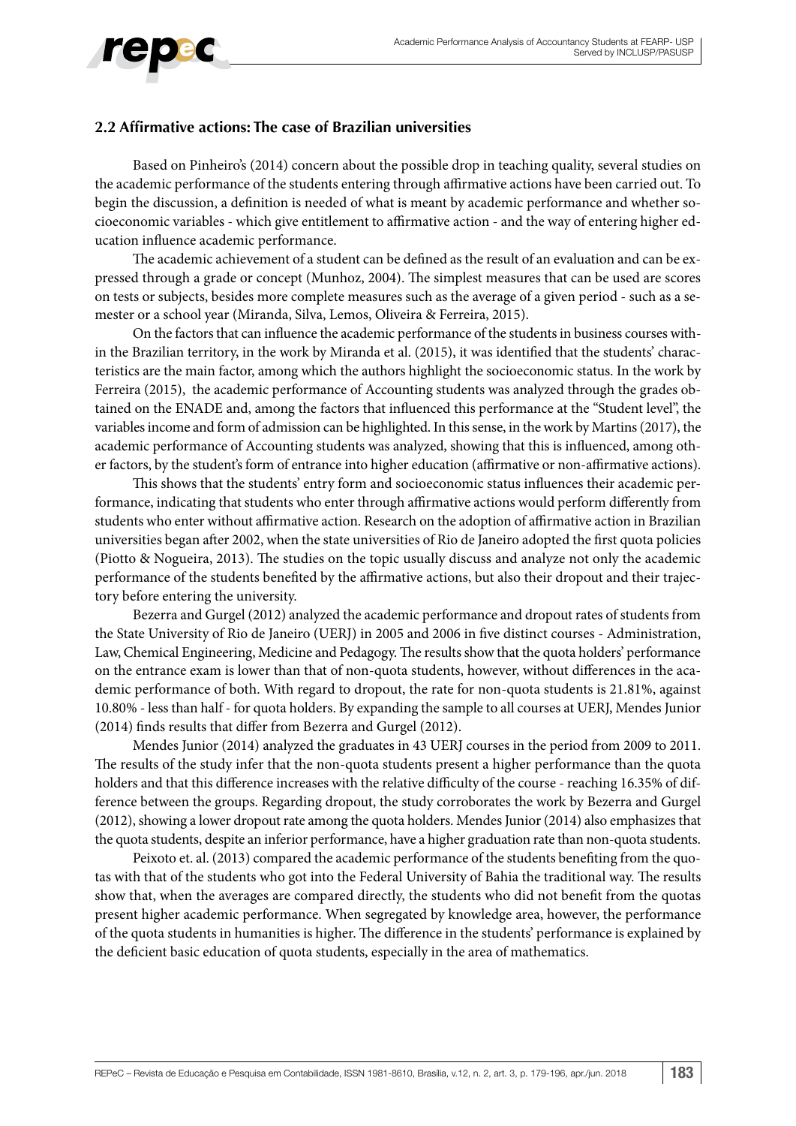# repec

#### **2.2 Affirmative actions: The case of Brazilian universities**

Based on Pinheiro's (2014) concern about the possible drop in teaching quality, several studies on the academic performance of the students entering through affirmative actions have been carried out. To begin the discussion, a definition is needed of what is meant by academic performance and whether socioeconomic variables - which give entitlement to affirmative action - and the way of entering higher education influence academic performance.

The academic achievement of a student can be defined as the result of an evaluation and can be expressed through a grade or concept (Munhoz, 2004). The simplest measures that can be used are scores on tests or subjects, besides more complete measures such as the average of a given period - such as a semester or a school year (Miranda, Silva, Lemos, Oliveira & Ferreira, 2015).

On the factors that can influence the academic performance of the students in business courses within the Brazilian territory, in the work by Miranda et al. (2015), it was identified that the students' characteristics are the main factor, among which the authors highlight the socioeconomic status. In the work by Ferreira (2015), the academic performance of Accounting students was analyzed through the grades obtained on the ENADE and, among the factors that influenced this performance at the "Student level", the variables income and form of admission can be highlighted. In this sense, in the work by Martins (2017), the academic performance of Accounting students was analyzed, showing that this is influenced, among other factors, by the student's form of entrance into higher education (affirmative or non-affirmative actions).

This shows that the students' entry form and socioeconomic status influences their academic performance, indicating that students who enter through affirmative actions would perform differently from students who enter without affirmative action. Research on the adoption of affirmative action in Brazilian universities began after 2002, when the state universities of Rio de Janeiro adopted the first quota policies (Piotto & Nogueira, 2013). The studies on the topic usually discuss and analyze not only the academic performance of the students benefited by the affirmative actions, but also their dropout and their trajectory before entering the university.

Bezerra and Gurgel (2012) analyzed the academic performance and dropout rates of students from the State University of Rio de Janeiro (UERJ) in 2005 and 2006 in five distinct courses - Administration, Law, Chemical Engineering, Medicine and Pedagogy. The results show that the quota holders' performance on the entrance exam is lower than that of non-quota students, however, without differences in the academic performance of both. With regard to dropout, the rate for non-quota students is 21.81%, against 10.80% - less than half - for quota holders. By expanding the sample to all courses at UERJ, Mendes Junior (2014) finds results that differ from Bezerra and Gurgel (2012).

Mendes Junior (2014) analyzed the graduates in 43 UERJ courses in the period from 2009 to 2011. The results of the study infer that the non-quota students present a higher performance than the quota holders and that this difference increases with the relative difficulty of the course - reaching 16.35% of difference between the groups. Regarding dropout, the study corroborates the work by Bezerra and Gurgel (2012), showing a lower dropout rate among the quota holders. Mendes Junior (2014) also emphasizes that the quota students, despite an inferior performance, have a higher graduation rate than non-quota students.

Peixoto et. al. (2013) compared the academic performance of the students benefiting from the quotas with that of the students who got into the Federal University of Bahia the traditional way. The results show that, when the averages are compared directly, the students who did not benefit from the quotas present higher academic performance. When segregated by knowledge area, however, the performance of the quota students in humanities is higher. The difference in the students' performance is explained by the deficient basic education of quota students, especially in the area of mathematics.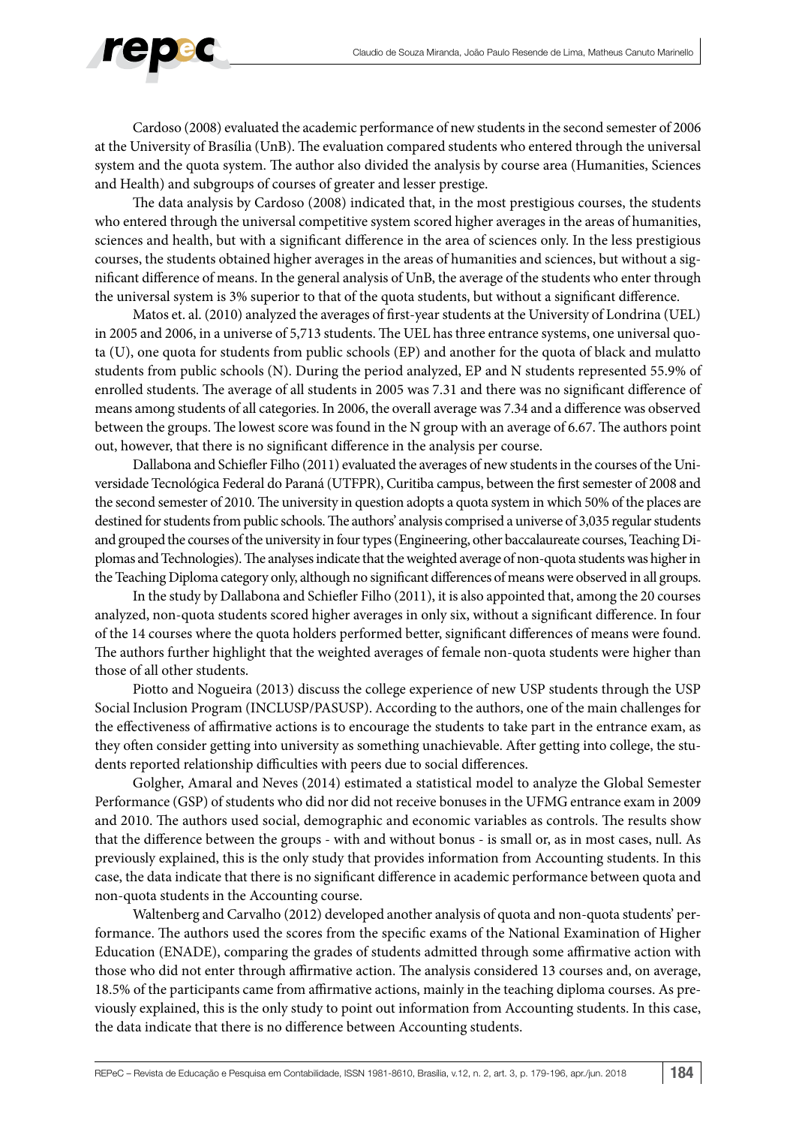

Cardoso (2008) evaluated the academic performance of new students in the second semester of 2006 at the University of Brasília (UnB). The evaluation compared students who entered through the universal system and the quota system. The author also divided the analysis by course area (Humanities, Sciences and Health) and subgroups of courses of greater and lesser prestige.

The data analysis by Cardoso (2008) indicated that, in the most prestigious courses, the students who entered through the universal competitive system scored higher averages in the areas of humanities, sciences and health, but with a significant difference in the area of sciences only. In the less prestigious courses, the students obtained higher averages in the areas of humanities and sciences, but without a significant difference of means. In the general analysis of UnB, the average of the students who enter through the universal system is 3% superior to that of the quota students, but without a significant difference.

Matos et. al. (2010) analyzed the averages of first-year students at the University of Londrina (UEL) in 2005 and 2006, in a universe of 5,713 students. The UEL has three entrance systems, one universal quota (U), one quota for students from public schools (EP) and another for the quota of black and mulatto students from public schools (N). During the period analyzed, EP and N students represented 55.9% of enrolled students. The average of all students in 2005 was 7.31 and there was no significant difference of means among students of all categories. In 2006, the overall average was 7.34 and a difference was observed between the groups. The lowest score was found in the N group with an average of 6.67. The authors point out, however, that there is no significant difference in the analysis per course.

Dallabona and Schiefler Filho (2011) evaluated the averages of new students in the courses of the Universidade Tecnológica Federal do Paraná (UTFPR), Curitiba campus, between the first semester of 2008 and the second semester of 2010. The university in question adopts a quota system in which 50% of the places are destined for students from public schools. The authors' analysis comprised a universe of 3,035 regular students and grouped the courses of the university in four types (Engineering, other baccalaureate courses, Teaching Diplomas and Technologies). The analyses indicate that the weighted average of non-quota students was higher in the Teaching Diploma category only, although no significant differences of means were observed in all groups.

In the study by Dallabona and Schiefler Filho (2011), it is also appointed that, among the 20 courses analyzed, non-quota students scored higher averages in only six, without a significant difference. In four of the 14 courses where the quota holders performed better, significant differences of means were found. The authors further highlight that the weighted averages of female non-quota students were higher than those of all other students.

Piotto and Nogueira (2013) discuss the college experience of new USP students through the USP Social Inclusion Program (INCLUSP/PASUSP). According to the authors, one of the main challenges for the effectiveness of affirmative actions is to encourage the students to take part in the entrance exam, as they often consider getting into university as something unachievable. After getting into college, the students reported relationship difficulties with peers due to social differences.

Golgher, Amaral and Neves (2014) estimated a statistical model to analyze the Global Semester Performance (GSP) of students who did nor did not receive bonuses in the UFMG entrance exam in 2009 and 2010. The authors used social, demographic and economic variables as controls. The results show that the difference between the groups - with and without bonus - is small or, as in most cases, null. As previously explained, this is the only study that provides information from Accounting students. In this case, the data indicate that there is no significant difference in academic performance between quota and non-quota students in the Accounting course.

Waltenberg and Carvalho (2012) developed another analysis of quota and non-quota students' performance. The authors used the scores from the specific exams of the National Examination of Higher Education (ENADE), comparing the grades of students admitted through some affirmative action with those who did not enter through affirmative action. The analysis considered 13 courses and, on average, 18.5% of the participants came from affirmative actions, mainly in the teaching diploma courses. As previously explained, this is the only study to point out information from Accounting students. In this case, the data indicate that there is no difference between Accounting students.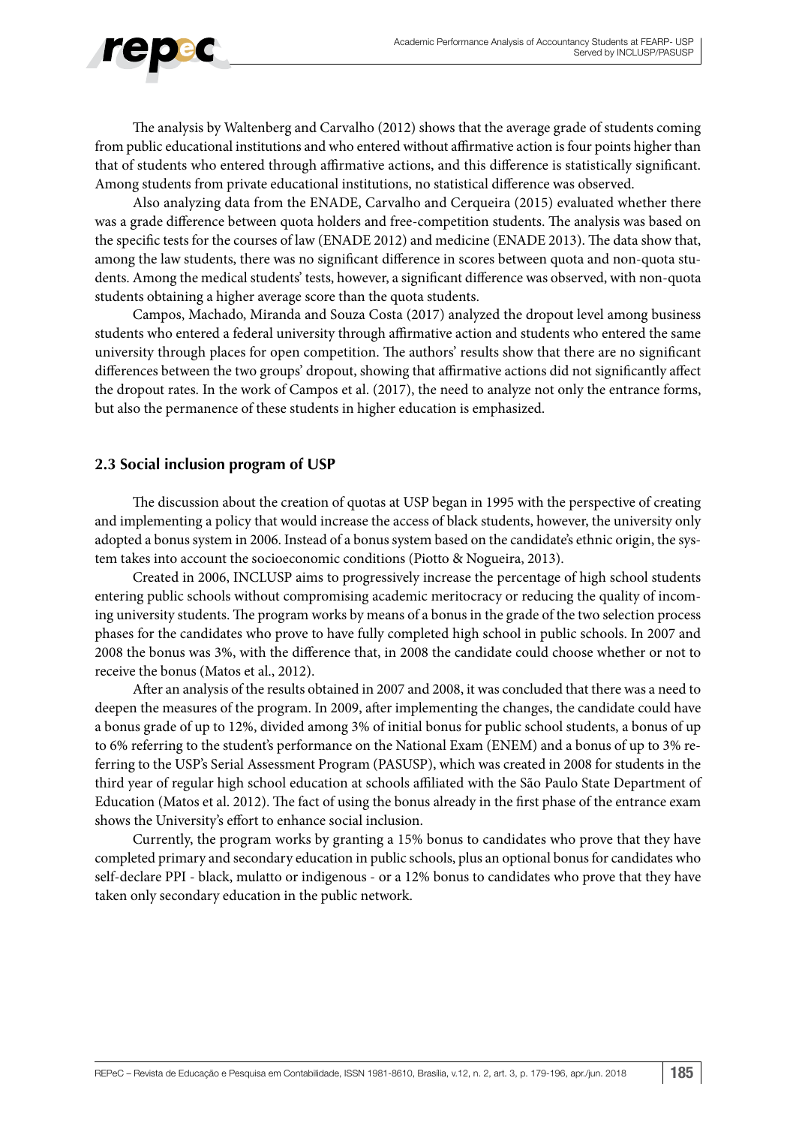

The analysis by Waltenberg and Carvalho (2012) shows that the average grade of students coming from public educational institutions and who entered without affirmative action is four points higher than that of students who entered through affirmative actions, and this difference is statistically significant. Among students from private educational institutions, no statistical difference was observed.

Also analyzing data from the ENADE, Carvalho and Cerqueira (2015) evaluated whether there was a grade difference between quota holders and free-competition students. The analysis was based on the specific tests for the courses of law (ENADE 2012) and medicine (ENADE 2013). The data show that, among the law students, there was no significant difference in scores between quota and non-quota students. Among the medical students' tests, however, a significant difference was observed, with non-quota students obtaining a higher average score than the quota students.

Campos, Machado, Miranda and Souza Costa (2017) analyzed the dropout level among business students who entered a federal university through affirmative action and students who entered the same university through places for open competition. The authors' results show that there are no significant differences between the two groups' dropout, showing that affirmative actions did not significantly affect the dropout rates. In the work of Campos et al. (2017), the need to analyze not only the entrance forms, but also the permanence of these students in higher education is emphasized.

#### **2.3 Social inclusion program of USP**

The discussion about the creation of quotas at USP began in 1995 with the perspective of creating and implementing a policy that would increase the access of black students, however, the university only adopted a bonus system in 2006. Instead of a bonus system based on the candidate's ethnic origin, the system takes into account the socioeconomic conditions (Piotto & Nogueira, 2013).

Created in 2006, INCLUSP aims to progressively increase the percentage of high school students entering public schools without compromising academic meritocracy or reducing the quality of incoming university students. The program works by means of a bonus in the grade of the two selection process phases for the candidates who prove to have fully completed high school in public schools. In 2007 and 2008 the bonus was 3%, with the difference that, in 2008 the candidate could choose whether or not to receive the bonus (Matos et al., 2012).

After an analysis of the results obtained in 2007 and 2008, it was concluded that there was a need to deepen the measures of the program. In 2009, after implementing the changes, the candidate could have a bonus grade of up to 12%, divided among 3% of initial bonus for public school students, a bonus of up to 6% referring to the student's performance on the National Exam (ENEM) and a bonus of up to 3% referring to the USP's Serial Assessment Program (PASUSP), which was created in 2008 for students in the third year of regular high school education at schools affiliated with the São Paulo State Department of Education (Matos et al. 2012). The fact of using the bonus already in the first phase of the entrance exam shows the University's effort to enhance social inclusion.

Currently, the program works by granting a 15% bonus to candidates who prove that they have completed primary and secondary education in public schools, plus an optional bonus for candidates who self-declare PPI - black, mulatto or indigenous - or a 12% bonus to candidates who prove that they have taken only secondary education in the public network.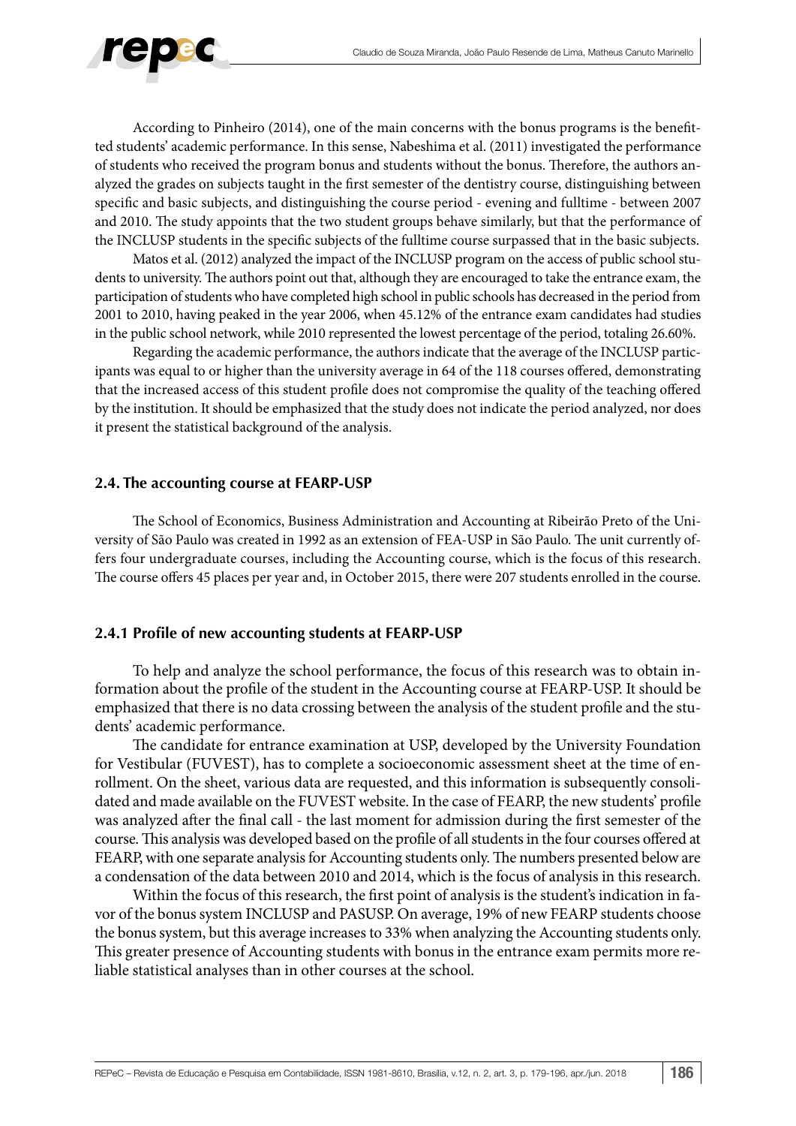

According to Pinheiro (2014), one of the main concerns with the bonus programs is the benefitted students' academic performance. In this sense, Nabeshima et al. (2011) investigated the performance of students who received the program bonus and students without the bonus. Therefore, the authors analyzed the grades on subjects taught in the first semester of the dentistry course, distinguishing between specific and basic subjects, and distinguishing the course period - evening and fulltime - between 2007 and 2010. The study appoints that the two student groups behave similarly, but that the performance of the INCLUSP students in the specific subjects of the fulltime course surpassed that in the basic subjects.

Matos et al. (2012) analyzed the impact of the INCLUSP program on the access of public school students to university. The authors point out that, although they are encouraged to take the entrance exam, the participation of students who have completed high school in public schools has decreased in the period from 2001 to 2010, having peaked in the year 2006, when 45.12% of the entrance exam candidates had studies in the public school network, while 2010 represented the lowest percentage of the period, totaling 26.60%.

Regarding the academic performance, the authors indicate that the average of the INCLUSP participants was equal to or higher than the university average in 64 of the 118 courses offered, demonstrating that the increased access of this student profile does not compromise the quality of the teaching offered by the institution. It should be emphasized that the study does not indicate the period analyzed, nor does it present the statistical background of the analysis.

#### **2.4. The accounting course at FEARP-USP**

The School of Economics, Business Administration and Accounting at Ribeirão Preto of the University of São Paulo was created in 1992 as an extension of FEA-USP in São Paulo. The unit currently offers four undergraduate courses, including the Accounting course, which is the focus of this research. The course offers 45 places per year and, in October 2015, there were 207 students enrolled in the course.

#### **2.4.1 Profile of new accounting students at FEARP-USP**

To help and analyze the school performance, the focus of this research was to obtain information about the profile of the student in the Accounting course at FEARP-USP. It should be emphasized that there is no data crossing between the analysis of the student profile and the students' academic performance.

The candidate for entrance examination at USP, developed by the University Foundation for Vestibular (FUVEST), has to complete a socioeconomic assessment sheet at the time of enrollment. On the sheet, various data are requested, and this information is subsequently consolidated and made available on the FUVEST website. In the case of FEARP, the new students' profile was analyzed after the final call - the last moment for admission during the first semester of the course. This analysis was developed based on the profile of all students in the four courses offered at FEARP, with one separate analysis for Accounting students only. The numbers presented below are a condensation of the data between 2010 and 2014, which is the focus of analysis in this research.

Within the focus of this research, the first point of analysis is the student's indication in favor of the bonus system INCLUSP and PASUSP. On average, 19% of new FEARP students choose the bonus system, but this average increases to 33% when analyzing the Accounting students only. This greater presence of Accounting students with bonus in the entrance exam permits more reliable statistical analyses than in other courses at the school.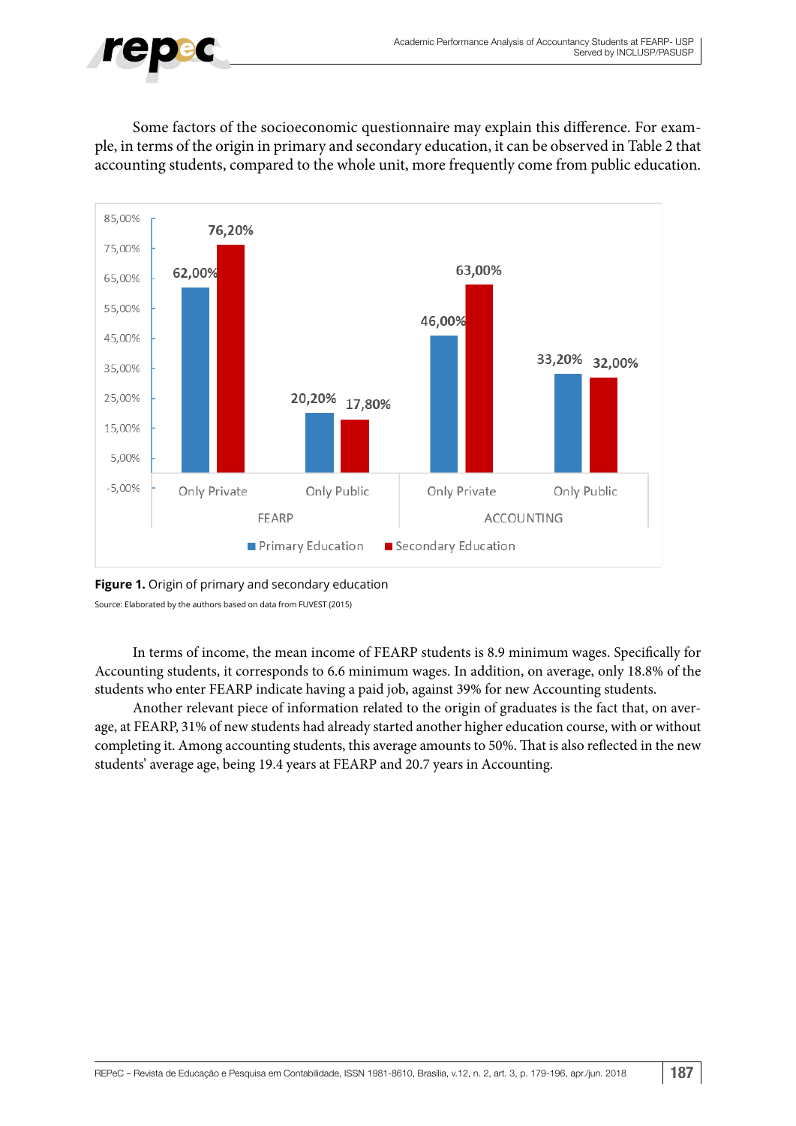

Some factors of the socioeconomic questionnaire may explain this difference. For example, in terms of the origin in primary and secondary education, it can be observed in Table 2 that accounting students, compared to the whole unit, more frequently come from public education.



#### **Figure 1.** Origin of primary and secondary education Source: Elaborated by the authors based on data from FUVEST (2015)

In terms of income, the mean income of FEARP students is 8.9 minimum wages. Specifically for Accounting students, it corresponds to 6.6 minimum wages. In addition, on average, only 18.8% of the students who enter FEARP indicate having a paid job, against 39% for new Accounting students.

Another relevant piece of information related to the origin of graduates is the fact that, on average, at FEARP, 31% of new students had already started another higher education course, with or without completing it. Among accounting students, this average amounts to 50%. That is also reflected in the new students' average age, being 19.4 years at FEARP and 20.7 years in Accounting.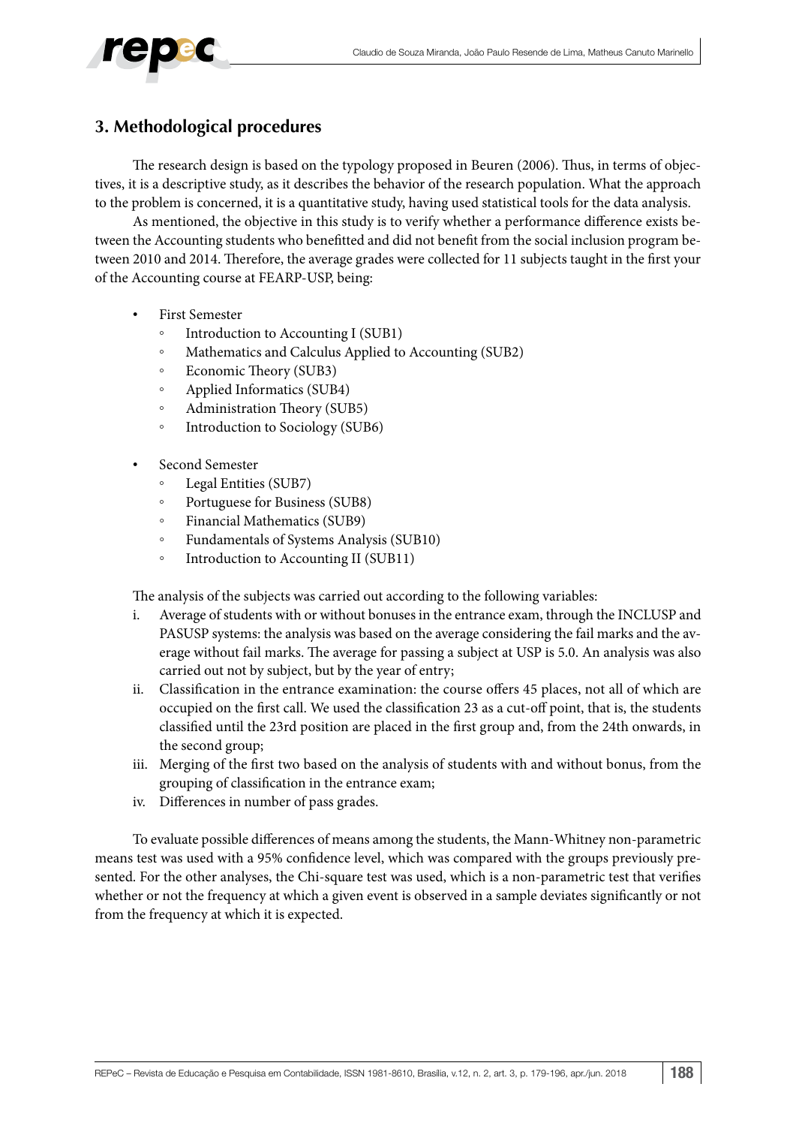

#### **3. Methodological procedures**

The research design is based on the typology proposed in Beuren (2006). Thus, in terms of objectives, it is a descriptive study, as it describes the behavior of the research population. What the approach to the problem is concerned, it is a quantitative study, having used statistical tools for the data analysis.

As mentioned, the objective in this study is to verify whether a performance difference exists between the Accounting students who benefitted and did not benefit from the social inclusion program between 2010 and 2014. Therefore, the average grades were collected for 11 subjects taught in the first your of the Accounting course at FEARP-USP, being:

- First Semester
	- Introduction to Accounting I (SUB1)
	- Mathematics and Calculus Applied to Accounting (SUB2)
	- Economic Theory (SUB3)
	- Applied Informatics (SUB4)
	- Administration Theory (SUB5)
	- Introduction to Sociology (SUB6)
- Second Semester
	- Legal Entities (SUB7)
	- Portuguese for Business (SUB8)
	- Financial Mathematics (SUB9)
	- Fundamentals of Systems Analysis (SUB10)
	- Introduction to Accounting II (SUB11)

The analysis of the subjects was carried out according to the following variables:

- i. Average of students with or without bonuses in the entrance exam, through the INCLUSP and PASUSP systems: the analysis was based on the average considering the fail marks and the average without fail marks. The average for passing a subject at USP is 5.0. An analysis was also carried out not by subject, but by the year of entry;
- ii. Classification in the entrance examination: the course offers 45 places, not all of which are occupied on the first call. We used the classification 23 as a cut-off point, that is, the students classified until the 23rd position are placed in the first group and, from the 24th onwards, in the second group;
- iii. Merging of the first two based on the analysis of students with and without bonus, from the grouping of classification in the entrance exam;
- iv. Differences in number of pass grades.

To evaluate possible differences of means among the students, the Mann-Whitney non-parametric means test was used with a 95% confidence level, which was compared with the groups previously presented. For the other analyses, the Chi-square test was used, which is a non-parametric test that verifies whether or not the frequency at which a given event is observed in a sample deviates significantly or not from the frequency at which it is expected.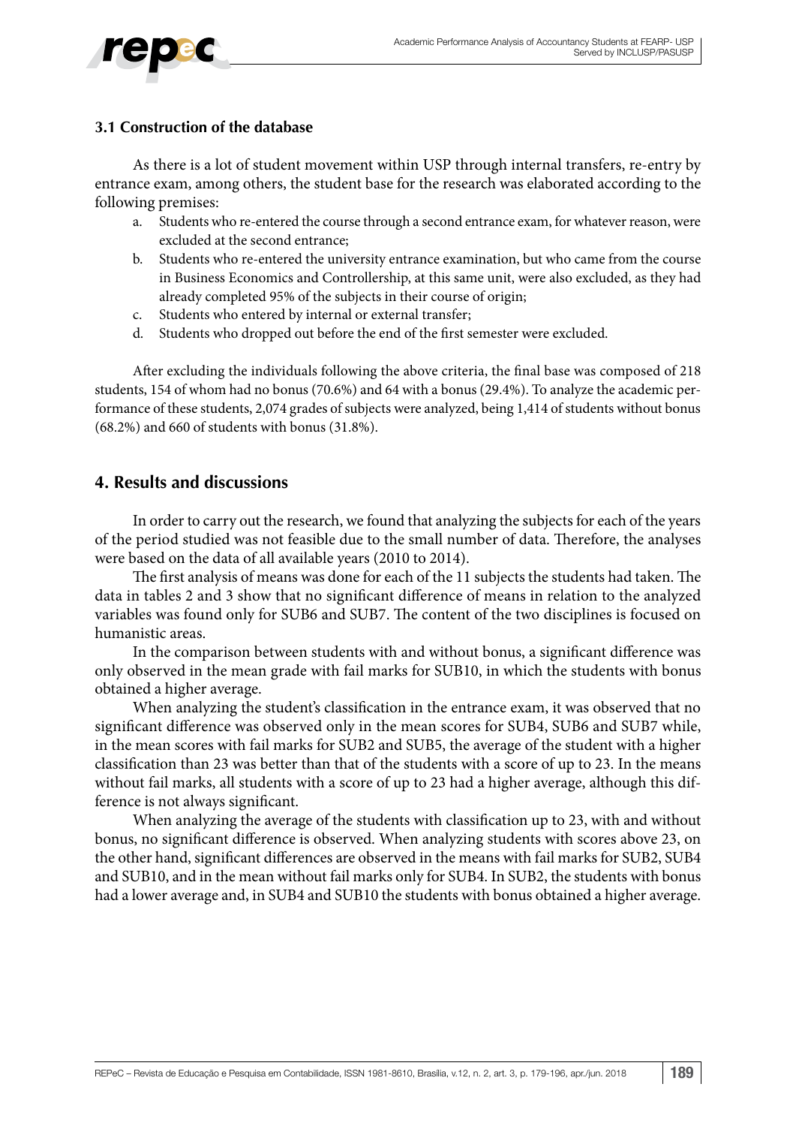#### **3.1 Construction of the database**

As there is a lot of student movement within USP through internal transfers, re-entry by entrance exam, among others, the student base for the research was elaborated according to the following premises:

- a. Students who re-entered the course through a second entrance exam, for whatever reason, were excluded at the second entrance;
- b. Students who re-entered the university entrance examination, but who came from the course in Business Economics and Controllership, at this same unit, were also excluded, as they had already completed 95% of the subjects in their course of origin;
- c. Students who entered by internal or external transfer;
- d. Students who dropped out before the end of the first semester were excluded.

After excluding the individuals following the above criteria, the final base was composed of 218 students, 154 of whom had no bonus (70.6%) and 64 with a bonus (29.4%). To analyze the academic performance of these students, 2,074 grades of subjects were analyzed, being 1,414 of students without bonus (68.2%) and 660 of students with bonus (31.8%).

#### **4. Results and discussions**

In order to carry out the research, we found that analyzing the subjects for each of the years of the period studied was not feasible due to the small number of data. Therefore, the analyses were based on the data of all available years (2010 to 2014).

The first analysis of means was done for each of the 11 subjects the students had taken. The data in tables 2 and 3 show that no significant difference of means in relation to the analyzed variables was found only for SUB6 and SUB7. The content of the two disciplines is focused on humanistic areas.

In the comparison between students with and without bonus, a significant difference was only observed in the mean grade with fail marks for SUB10, in which the students with bonus obtained a higher average.

When analyzing the student's classification in the entrance exam, it was observed that no significant difference was observed only in the mean scores for SUB4, SUB6 and SUB7 while, in the mean scores with fail marks for SUB2 and SUB5, the average of the student with a higher classification than 23 was better than that of the students with a score of up to 23. In the means without fail marks, all students with a score of up to 23 had a higher average, although this difference is not always significant.

When analyzing the average of the students with classification up to 23, with and without bonus, no significant difference is observed. When analyzing students with scores above 23, on the other hand, significant differences are observed in the means with fail marks for SUB2, SUB4 and SUB10, and in the mean without fail marks only for SUB4. In SUB2, the students with bonus had a lower average and, in SUB4 and SUB10 the students with bonus obtained a higher average.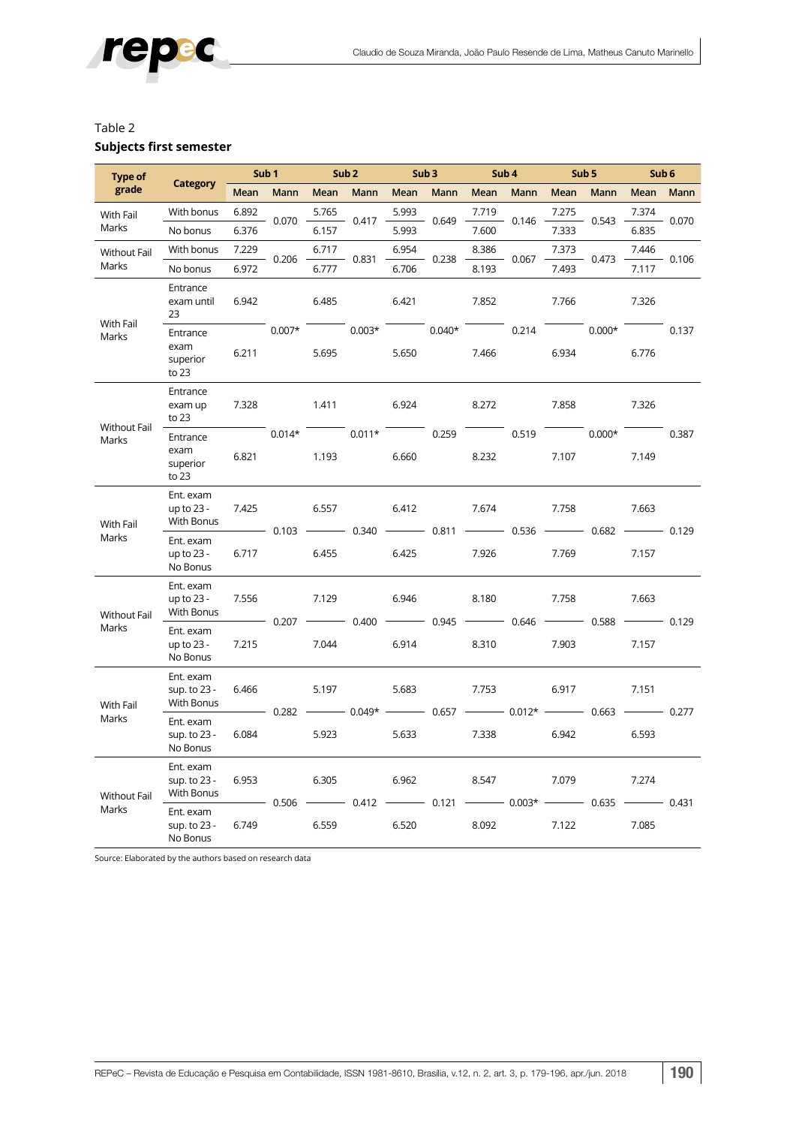

#### Table 2 **Subjects first semester**

| <b>Type of</b>               |                                         | Sub <sub>1</sub> |       |                                                                      | Sub <sub>2</sub>                                             | Sub3                                                                            |       | Sub <sub>4</sub> |       | Sub <sub>5</sub>                                                                                                                                                                                                  |                                                     | Sub 6             |             |
|------------------------------|-----------------------------------------|------------------|-------|----------------------------------------------------------------------|--------------------------------------------------------------|---------------------------------------------------------------------------------|-------|------------------|-------|-------------------------------------------------------------------------------------------------------------------------------------------------------------------------------------------------------------------|-----------------------------------------------------|-------------------|-------------|
| grade                        | <b>Category</b>                         | Mean             | Mann  | Mean                                                                 | Mann                                                         | Mean                                                                            | Mann  | Mean             | Mann  | Mean                                                                                                                                                                                                              | Mann                                                | Mean              | <b>Mann</b> |
| With Fail                    | With bonus                              | 6.892            | 0.070 | 5.765                                                                | 0.417                                                        | 5.993                                                                           | 0.649 | 7.719            | 0.146 | 7.275                                                                                                                                                                                                             | 0.543                                               | 7.374             | $-0.070$    |
| Marks                        | No bonus                                | 6.376            |       | 6.157                                                                |                                                              | 5.993                                                                           |       | 7.600            |       | 7.333                                                                                                                                                                                                             |                                                     | 6.835             |             |
| Without Fail                 | With bonus                              | 7.229            |       | 6.717                                                                |                                                              | 6.954                                                                           |       | 8.386            | 0.067 | 7.373                                                                                                                                                                                                             | 0.473                                               | 7.446             | $-0.106$    |
| Marks                        | No bonus                                | 6.972            | 0.206 | 6.777                                                                | $-0.831$                                                     | 6.706                                                                           | 0.238 | 8.193            |       | 7.493                                                                                                                                                                                                             |                                                     | 7.117             |             |
| With Fail<br>Marks           | Entrance<br>exam until<br>23            | 6.942            |       | 6.485                                                                |                                                              | 6.421                                                                           |       | 7.852            |       | 7.766                                                                                                                                                                                                             | $0.007*$ $0.003*$ $0.040*$ $0.214$ $0.000*$ $0.137$ | 7.326             |             |
|                              | Entrance<br>exam<br>superior<br>to $23$ | 6.211            |       | 5.695                                                                |                                                              | 5.650                                                                           |       | 7.466            |       | 6.934                                                                                                                                                                                                             |                                                     | 6.776             |             |
| <b>Without Fail</b><br>Marks | Entrance<br>exam up<br>to 23            | 7.328            |       | 1.411                                                                |                                                              | 6.924                                                                           |       | 8.272            |       | 7.858                                                                                                                                                                                                             |                                                     | 7.326             |             |
|                              | Entrance<br>exam<br>superior<br>to 23   | 6.821            |       | 1.193                                                                | $0.014*$ 0.011*                                              | 6.660                                                                           | 0.259 | 8.232            | 0.519 | 7.107                                                                                                                                                                                                             |                                                     | $0.000*$<br>7.149 | 0.387       |
| With Fail                    | Ent. exam<br>up to $23 -$<br>With Bonus | 7.425            |       | 6.557                                                                |                                                              | 6.412                                                                           |       | 7.674            |       | 7.758                                                                                                                                                                                                             |                                                     | 7.663             |             |
| Marks                        | Ent. exam<br>up to $23 -$<br>No Bonus   | 6.717            |       | $-$ 0.103 $-$ 0.340 $-$ 0.811 $-$ 0.536 $-$ 0.682 $-$ 0.129<br>6.455 |                                                              | 6.425                                                                           |       | 7.926            |       | 7.769                                                                                                                                                                                                             |                                                     | 7.157             |             |
| Without Fail                 | Ent. exam<br>up to 23 -<br>With Bonus   | 7.556            |       | 7.129                                                                |                                                              | 6.946                                                                           |       | 8.180            |       | 7.758<br>$\overline{\hspace{1cm}}$ 0.207 $\overline{\hspace{1cm}}$ 0.400 $\overline{\hspace{1cm}}$ 0.945 $\overline{\hspace{1cm}}$ 0.646 $\overline{\hspace{1cm}}$ 0.588 $\overline{\hspace{1cm}}$ 0.129<br>7.903 |                                                     | 7.663             |             |
| Marks                        | Ent. exam<br>up to $23 -$<br>No Bonus   | 7.215            |       | 7.044                                                                |                                                              | 6.914                                                                           |       | 8.310            |       |                                                                                                                                                                                                                   |                                                     |                   | 7.157       |
| With Fail<br>Marks           | Ent. exam<br>sup. to 23 -<br>With Bonus | 6.466            |       | 5.197                                                                |                                                              | 5.683<br>$-$ 0.282 $-$ 0.049* $-$ 0.657 $-$ 0.012* $-$ 0.663 $-$ 0.277<br>5.633 |       | 7.753            |       | 6.917                                                                                                                                                                                                             |                                                     | 7.151             |             |
|                              | Ent. exam<br>sup. to 23 -<br>No Bonus   | 6.084            |       | 5.923                                                                |                                                              |                                                                                 |       | 7.338            | 6.942 |                                                                                                                                                                                                                   |                                                     | 6.593             |             |
| <b>Without Fail</b><br>Marks | Ent. exam<br>sup. to 23 -<br>With Bonus | 6.953            |       | 6.305                                                                |                                                              | 6.962                                                                           |       | 8.547            |       | 7.079                                                                                                                                                                                                             |                                                     | 7.274             |             |
|                              | Ent. exam<br>sup. to 23 -<br>No Bonus   | 6.749            |       | 6.559                                                                | $-$ 0.506 $-$ 0.412 $-$ 0.121 $-$ 0.003* $-$ 0.635 $-$ 0.431 | 6.520                                                                           |       | 8.092            |       | 7.122                                                                                                                                                                                                             |                                                     | 7.085             |             |

Source: Elaborated by the authors based on research data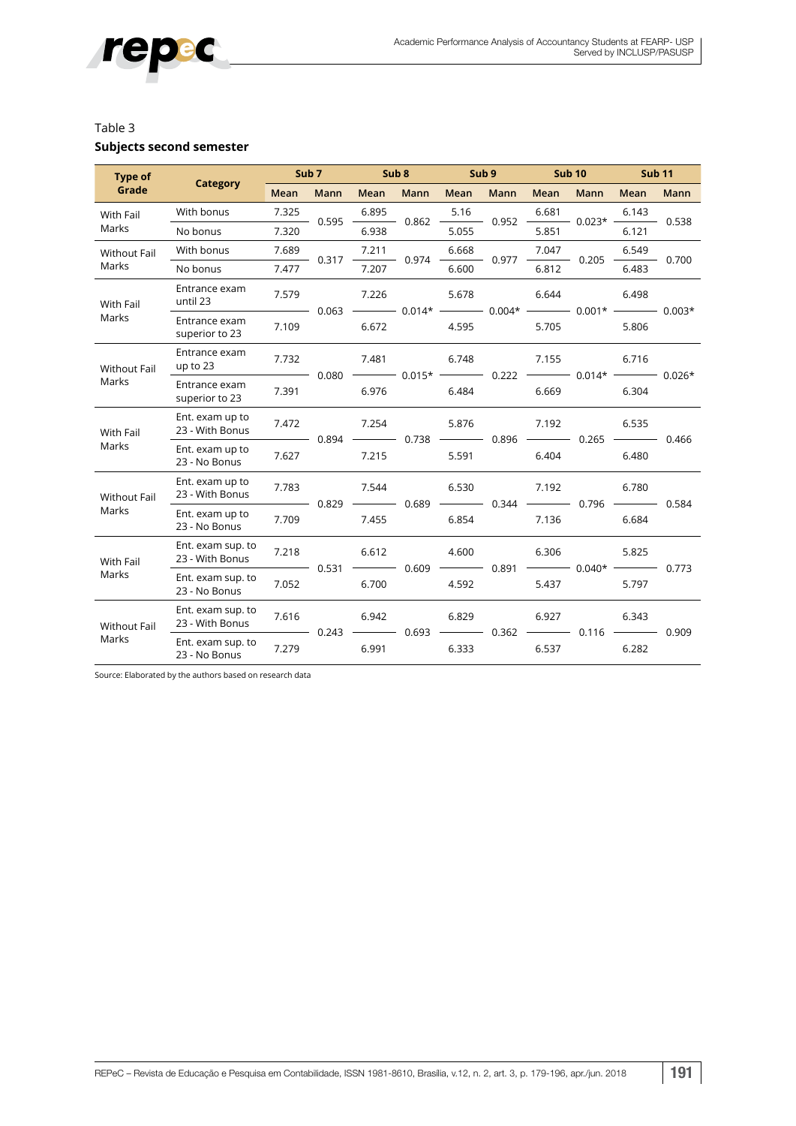

#### Table 3

#### **Subjects second semester**

| Type of             |                                      | Sub <sub>7</sub> |           | Sub <sub>8</sub> |                                                                                                     | Sub <sub>9</sub> |           | <b>Sub 10</b> |                                                                                                                                                    | <b>Sub 11</b> |           |
|---------------------|--------------------------------------|------------------|-----------|------------------|-----------------------------------------------------------------------------------------------------|------------------|-----------|---------------|----------------------------------------------------------------------------------------------------------------------------------------------------|---------------|-----------|
| Grade               | <b>Category</b>                      | Mean             | Mann      | Mean             | Mann                                                                                                | Mean             | Mann      | Mean          | <b>Mann</b>                                                                                                                                        | Mean          | Mann      |
| With Fail           | With bonus                           | 7.325            |           | 6.895            |                                                                                                     | 5.16             |           | 6.681         |                                                                                                                                                    | 6.143         |           |
| Marks               | No bonus                             | 7.320            | $0.595 -$ | 6.938            | $-0.862$                                                                                            | 5.055            | $0.952 -$ | 5.851         | $-0.023* -$                                                                                                                                        | 6.121         | $-0.538$  |
| Without Fail        | With bonus                           | 7.689            | 0.317     | 7.211            | 0.974                                                                                               | 6.668            | 0.977     | 7.047         | 0.205                                                                                                                                              | 6.549         | $-0.700$  |
| Marks               | No bonus                             | 7.477            |           | 7.207            |                                                                                                     | 6.600            |           | 6.812         |                                                                                                                                                    | 6.483         |           |
| With Fail           | Entrance exam<br>until 23            | 7.579            |           | 7.226            |                                                                                                     | 5.678            |           | 6.644         |                                                                                                                                                    | 6.498         |           |
| Marks               | Entrance exam<br>superior to 23      | 7.109            |           | 6.672            |                                                                                                     | 4.595            |           | 5.705         |                                                                                                                                                    | 5.806         |           |
| <b>Without Fail</b> | Entrance exam<br>up to $23$          | 7.732            |           | 7.481            |                                                                                                     | 6.748            |           | 7.155         | $\begin{array}{ccccccccc} - & & 0.080 & \text{---} & 0.015^{*} & \text{---} & 0.222 & \text{---} & 0.014^{*} & \text{---} & 0.026^{*} \end{array}$ | 6.716         |           |
| Marks               | Entrance exam<br>superior to 23      | 7.391            |           | 6.976            |                                                                                                     | 6.484            |           | 6.669         |                                                                                                                                                    | 6.304         |           |
| With Fail           | Ent. exam up to<br>23 - With Bonus   | 7.472            |           | 7.254            | $-$ 0.894 $\longrightarrow$ 0.738 $\longrightarrow$ 0.896 $\longrightarrow$ 0.265 $\longrightarrow$ | 5.876            |           | 7.192         |                                                                                                                                                    | 6.535         | $- 0.466$ |
| Marks               | Ent. exam up to<br>23 - No Bonus     | 7.627            |           | 7.215            |                                                                                                     | 5.591            |           | 6.404         |                                                                                                                                                    | 6.480         |           |
| <b>Without Fail</b> | Ent. exam up to<br>23 - With Bonus   | 7.783            |           | 7.544            |                                                                                                     | 6.530            |           | 7.192         | $-$ 0.829 $-$ 0.689 $-$ 0.344 $-$ 0.796 $-$ 0.584                                                                                                  | 6.780         |           |
| Marks               | Ent. exam up to<br>23 - No Bonus     | 7.709            |           | 7.455            |                                                                                                     | 6.854            |           | 7.136         |                                                                                                                                                    | 6.684         |           |
| With Fail           | Ent. exam sup. to<br>23 - With Bonus | 7.218            |           | 6.612            |                                                                                                     | 4.600            |           | 6.306         |                                                                                                                                                    | 5.825         |           |
| Marks               | Ent. exam sup. to<br>23 - No Bonus   | 7.052            |           | 6.700            |                                                                                                     | 4.592            |           | 5.437         |                                                                                                                                                    | 5.797         |           |
| <b>Without Fail</b> | Ent. exam sup. to<br>23 - With Bonus | 7.616            |           | 6.942            |                                                                                                     | 6.829            |           | 6.927         |                                                                                                                                                    | 6.343         |           |
| Marks               | Ent. exam sup. to<br>23 - No Bonus   | 7.279            |           | 6.991            | 6.333                                                                                               |                  | 6.537     |               | 6.282                                                                                                                                              |               |           |

Source: Elaborated by the authors based on research data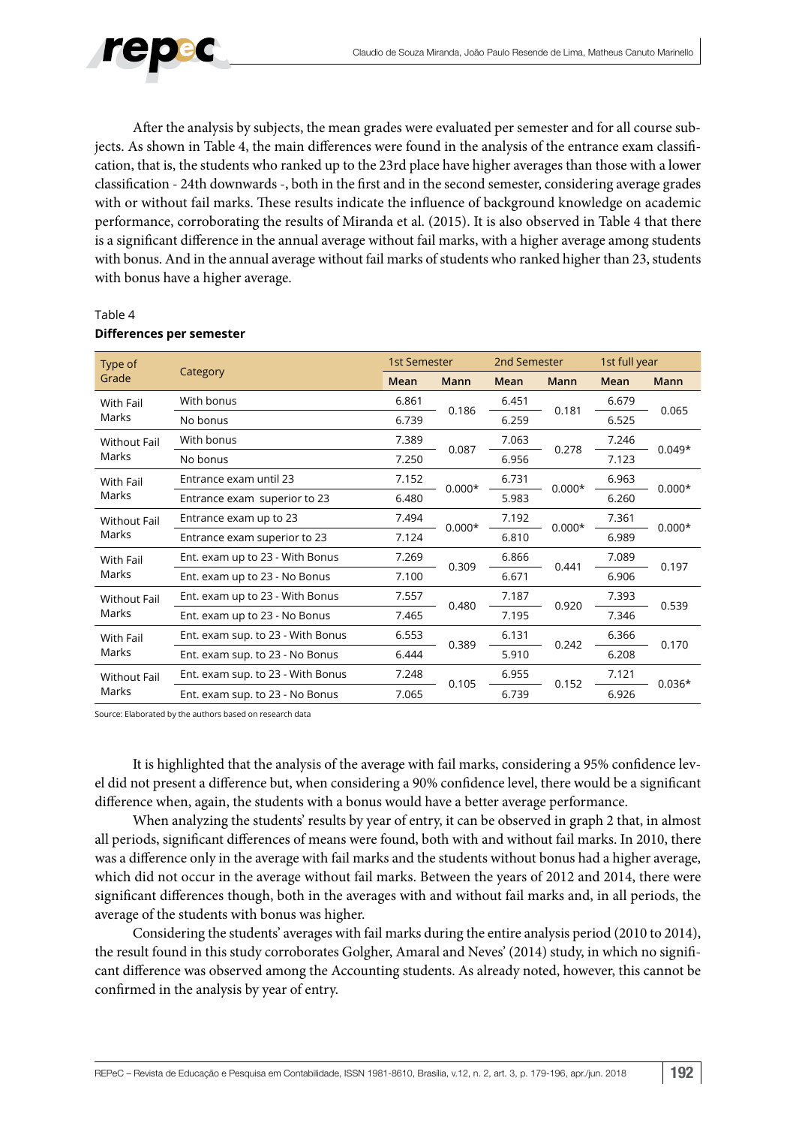

After the analysis by subjects, the mean grades were evaluated per semester and for all course subjects. As shown in Table 4, the main differences were found in the analysis of the entrance exam classification, that is, the students who ranked up to the 23rd place have higher averages than those with a lower classification - 24th downwards -, both in the first and in the second semester, considering average grades with or without fail marks. These results indicate the influence of background knowledge on academic performance, corroborating the results of Miranda et al. (2015). It is also observed in Table 4 that there is a significant difference in the annual average without fail marks, with a higher average among students with bonus. And in the annual average without fail marks of students who ranked higher than 23, students with bonus have a higher average.

| Type of             |                                   |       | 1st Semester |       | 2nd Semester | 1st full year |          |  |
|---------------------|-----------------------------------|-------|--------------|-------|--------------|---------------|----------|--|
| Grade               | Category                          | Mean  | <b>Mann</b>  | Mean  | <b>Mann</b>  | Mean          | Mann     |  |
| With Fail           | With bonus                        | 6.861 |              | 6.451 |              | 6.679         | 0.065    |  |
| Marks               | No bonus                          | 6.739 | 0.186        | 6.259 | 0.181        | 6.525         |          |  |
| <b>Without Fail</b> | With bonus                        | 7.389 |              | 7.063 |              | 7.246         |          |  |
| Marks               | No bonus                          | 7.250 | 0.087        | 6.956 | 0.278        | 7.123         | $0.049*$ |  |
| With Fail           | Entrance exam until 23            | 7.152 | $0.000*$     | 6.731 | $0.000*$     | 6.963         | $0.000*$ |  |
| Marks               | Entrance exam superior to 23      | 6.480 |              | 5.983 |              | 6.260         |          |  |
| <b>Without Fail</b> | Entrance exam up to 23            | 7.494 |              | 7.192 | $0.000*$     | 7.361         |          |  |
| Marks               | Entrance exam superior to 23      | 7.124 | $0.000*$     | 6.810 |              | 6.989         | $0.000*$ |  |
| With Fail           | Ent. exam up to 23 - With Bonus   | 7.269 |              | 6.866 |              | 7.089         |          |  |
| Marks               | Ent. exam up to 23 - No Bonus     | 7.100 | 0.309        | 6.671 | 0.441        | 6.906         | 0.197    |  |
| <b>Without Fail</b> | Ent. exam up to 23 - With Bonus   | 7.557 |              | 7.187 |              | 7.393         |          |  |
| Marks               | Ent. exam up to 23 - No Bonus     | 7.465 | 0.480        | 7.195 | 0.920        | 7.346         | 0.539    |  |
| With Fail           | Ent. exam sup. to 23 - With Bonus | 6.553 |              | 6.131 |              | 6.366         |          |  |
| Marks               | Ent. exam sup. to 23 - No Bonus   | 6.444 | 0.389        | 5.910 | 0.242        | 6.208         | 0.170    |  |
| <b>Without Fail</b> | Ent. exam sup. to 23 - With Bonus | 7.248 |              | 6.955 |              | 7.121         | $0.036*$ |  |
| Marks               | Ent. exam sup. to 23 - No Bonus   | 7.065 | 0.105        | 6.739 | 0.152        | 6.926         |          |  |

#### Table 4 **Differences per semester**

Source: Elaborated by the authors based on research data

It is highlighted that the analysis of the average with fail marks, considering a 95% confidence level did not present a difference but, when considering a 90% confidence level, there would be a significant difference when, again, the students with a bonus would have a better average performance.

When analyzing the students' results by year of entry, it can be observed in graph 2 that, in almost all periods, significant differences of means were found, both with and without fail marks. In 2010, there was a difference only in the average with fail marks and the students without bonus had a higher average, which did not occur in the average without fail marks. Between the years of 2012 and 2014, there were significant differences though, both in the averages with and without fail marks and, in all periods, the average of the students with bonus was higher.

Considering the students' averages with fail marks during the entire analysis period (2010 to 2014), the result found in this study corroborates Golgher, Amaral and Neves' (2014) study, in which no significant difference was observed among the Accounting students. As already noted, however, this cannot be confirmed in the analysis by year of entry.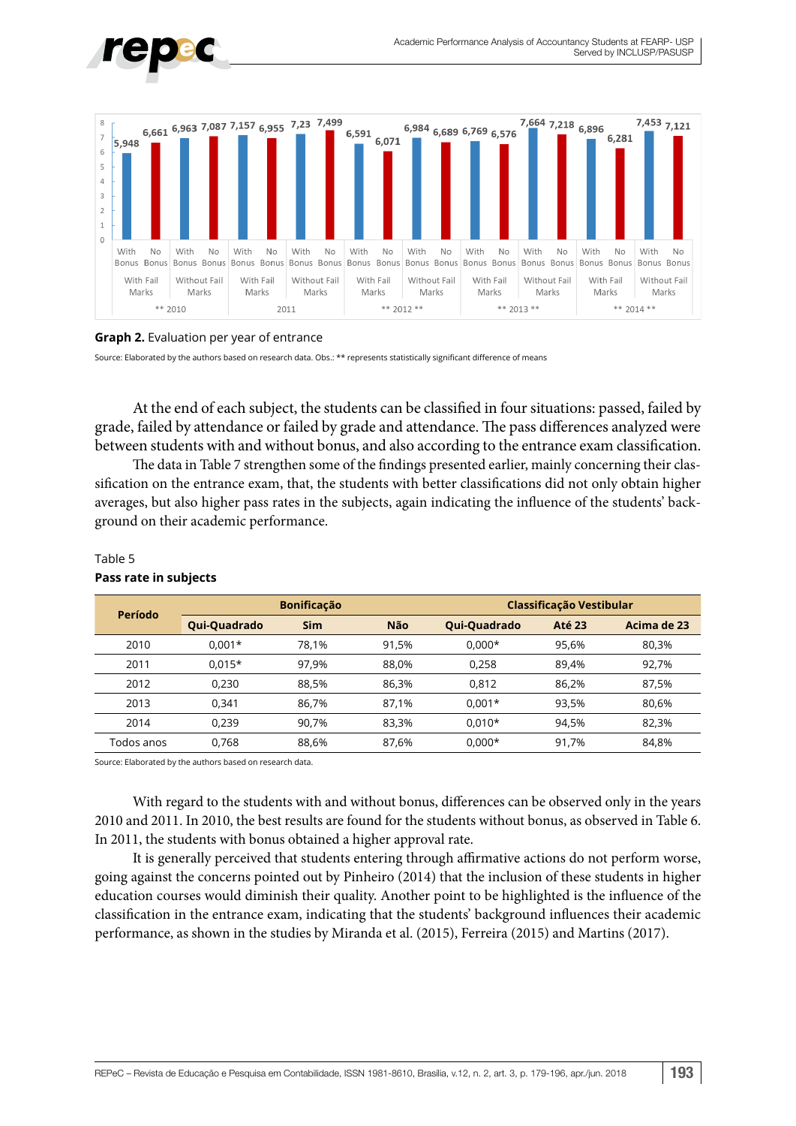



#### **Graph 2.** Evaluation per year of entrance

Source: Elaborated by the authors based on research data. Obs.: \*\* represents statistically significant difference of means

At the end of each subject, the students can be classified in four situations: passed, failed by grade, failed by attendance or failed by grade and attendance. The pass differences analyzed were between students with and without bonus, and also according to the entrance exam classification.

The data in Table 7 strengthen some of the findings presented earlier, mainly concerning their classification on the entrance exam, that, the students with better classifications did not only obtain higher averages, but also higher pass rates in the subjects, again indicating the influence of the students' background on their academic performance.

| Período    |              | <b>Bonificação</b> |       | Classificação Vestibular |               |             |  |  |
|------------|--------------|--------------------|-------|--------------------------|---------------|-------------|--|--|
|            | Qui-Quadrado | <b>Sim</b>         | Não   | Qui-Quadrado             | <b>Até 23</b> | Acima de 23 |  |  |
| 2010       | $0.001*$     | 78.1%              | 91.5% | $0.000*$                 | 95.6%         | 80,3%       |  |  |
| 2011       | $0.015*$     | 97.9%              | 88.0% | 0,258                    | 89.4%         | 92,7%       |  |  |
| 2012       | 0.230        | 88.5%              | 86.3% | 0,812                    | 86.2%         | 87.5%       |  |  |
| 2013       | 0.341        | 86,7%              | 87.1% | $0.001*$                 | 93.5%         | 80,6%       |  |  |
| 2014       | 0.239        | 90.7%              | 83.3% | $0.010*$                 | 94.5%         | 82,3%       |  |  |
| Todos anos | 0.768        | 88.6%              | 87,6% | $0.000*$                 | 91.7%         | 84,8%       |  |  |

#### Table 5 **Pass rate in subjects**

Source: Elaborated by the authors based on research data.

With regard to the students with and without bonus, differences can be observed only in the years 2010 and 2011. In 2010, the best results are found for the students without bonus, as observed in Table 6. In 2011, the students with bonus obtained a higher approval rate.

It is generally perceived that students entering through affirmative actions do not perform worse, going against the concerns pointed out by Pinheiro (2014) that the inclusion of these students in higher education courses would diminish their quality. Another point to be highlighted is the influence of the classification in the entrance exam, indicating that the students' background influences their academic performance, as shown in the studies by Miranda et al. (2015), Ferreira (2015) and Martins (2017).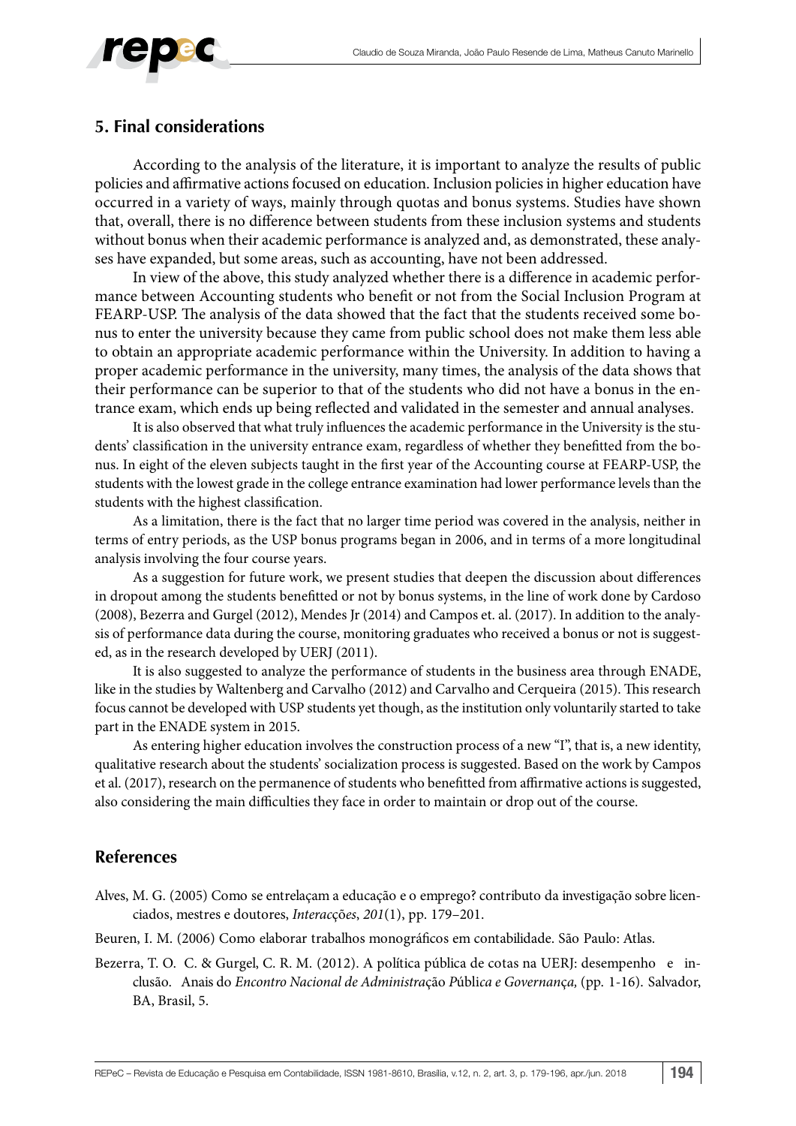

#### **5. Final considerations**

According to the analysis of the literature, it is important to analyze the results of public policies and affirmative actions focused on education. Inclusion policies in higher education have occurred in a variety of ways, mainly through quotas and bonus systems. Studies have shown that, overall, there is no difference between students from these inclusion systems and students without bonus when their academic performance is analyzed and, as demonstrated, these analyses have expanded, but some areas, such as accounting, have not been addressed.

In view of the above, this study analyzed whether there is a difference in academic performance between Accounting students who benefit or not from the Social Inclusion Program at FEARP-USP. The analysis of the data showed that the fact that the students received some bonus to enter the university because they came from public school does not make them less able to obtain an appropriate academic performance within the University. In addition to having a proper academic performance in the university, many times, the analysis of the data shows that their performance can be superior to that of the students who did not have a bonus in the entrance exam, which ends up being reflected and validated in the semester and annual analyses.

It is also observed that what truly influences the academic performance in the University is the students' classification in the university entrance exam, regardless of whether they benefitted from the bonus. In eight of the eleven subjects taught in the first year of the Accounting course at FEARP-USP, the students with the lowest grade in the college entrance examination had lower performance levels than the students with the highest classification.

As a limitation, there is the fact that no larger time period was covered in the analysis, neither in terms of entry periods, as the USP bonus programs began in 2006, and in terms of a more longitudinal analysis involving the four course years.

As a suggestion for future work, we present studies that deepen the discussion about differences in dropout among the students benefitted or not by bonus systems, in the line of work done by Cardoso (2008), Bezerra and Gurgel (2012), Mendes Jr (2014) and Campos et. al. (2017). In addition to the analysis of performance data during the course, monitoring graduates who received a bonus or not is suggested, as in the research developed by UERJ (2011).

It is also suggested to analyze the performance of students in the business area through ENADE, like in the studies by Waltenberg and Carvalho (2012) and Carvalho and Cerqueira (2015). This research focus cannot be developed with USP students yet though, as the institution only voluntarily started to take part in the ENADE system in 2015.

As entering higher education involves the construction process of a new "I", that is, a new identity, qualitative research about the students' socialization process is suggested. Based on the work by Campos et al. (2017), research on the permanence of students who benefitted from affirmative actions is suggested, also considering the main difficulties they face in order to maintain or drop out of the course.

#### **References**

Alves, M. G. (2005) Como se entrelaçam a educação e o emprego? contributo da investigação sobre licenciados, mestres e doutores, *Interac*çõ*es*, *201*(1), pp. 179–201.

Beuren, I. M. (2006) Como elaborar trabalhos monográficos em contabilidade. São Paulo: Atlas.

Bezerra, T. O. C. & Gurgel, C. R. M. (2012). A política pública de cotas na UERJ: desempenho e inclusão. Anais do *Encontro Nacional de Administra*ção *P*úbli*ca e Governan*ç*a,* (pp. 1-16). Salvador, BA, Brasil, 5.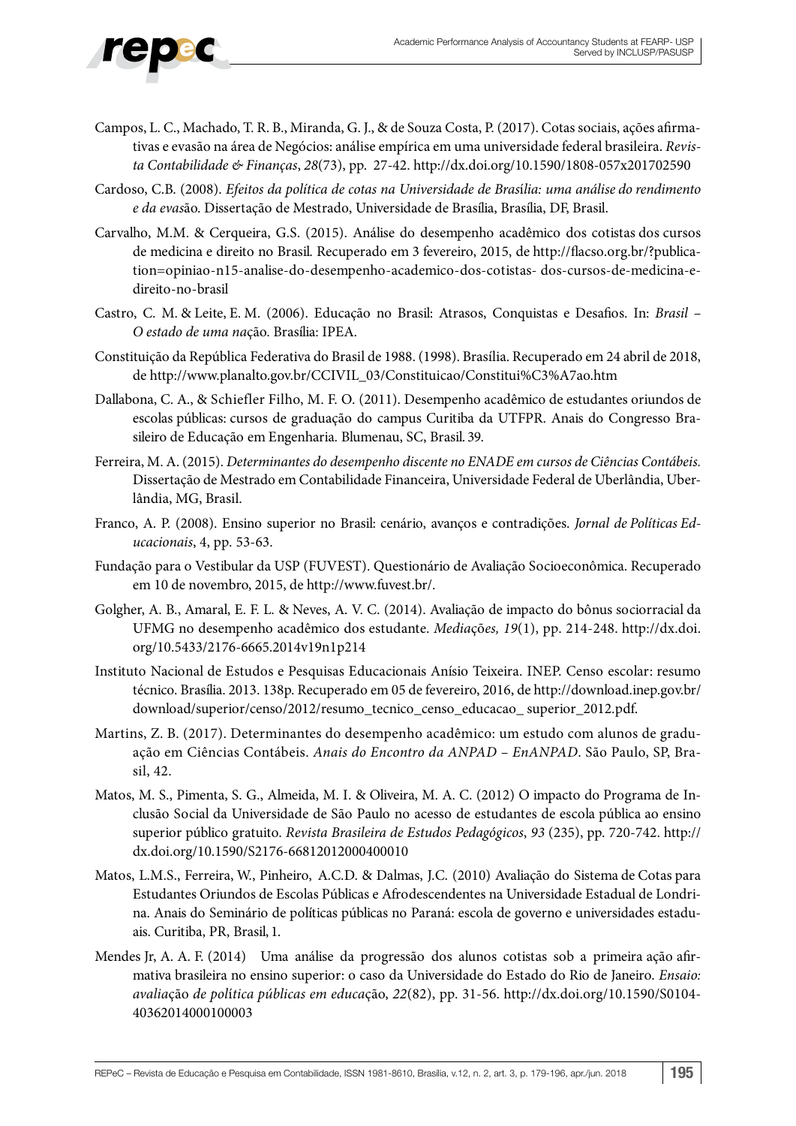- Campos, L. C., Machado, T. R. B., Miranda, G. J., & de Souza Costa, P. (2017). Cotas sociais, ações afirmativas e evasão na área de Negócios: análise empírica em uma universidade federal brasileira. *Revista Contabilidade & Finanças*, *28*(73), pp. 27-42.<http://dx.doi.org/10.1590/1808-057x201702590>
- Cardoso, C.B. (2008). *Efeitos da política de cotas na Universidade de Bras*í*lia: uma análise do rendimento e da evas*ão. Dissertação de Mestrado, Universidade de Brasília, Brasília, DF, Brasil.
- Carvalho, M.M. & Cerqueira, G.S. (2015). Análise do desempenho acadêmico dos cotistas dos cursos de medicina e direito no Brasil. Recuperado em 3 fevereiro, 2015, d[e http://flacso.org.br/](http://flacso.org.br/)?publication=opiniao-n15-analise-do-desempenho-academico-dos-cotistas- dos-cursos-de-medicina-edireito-no-brasil
- Castro, C. M. & Leite, E. M. (2006). Educação no Brasil: Atrasos, Conquistas e Desafios. In: *Brasil O estado de uma na*ção. Brasília: IPEA.
- Constituição da República Federativa do Brasil de 1988. (1998). Brasília. Recuperado em 24 abril de 2018, de [http://www.planalto.gov.br/CCIVIL\\_03/Constituicao/Constitui%C3%A7ao.htm](http://www.planalto.gov.br/CCIVIL_03/Constituicao/Constitui%C3%A7ao.htm)
- Dallabona, C. A., & Schiefler Filho, M. F. O. (2011). Desempenho acadêmico de estudantes oriundos de escolas públicas: cursos de graduação do campus Curitiba da UTFPR. Anais do Congresso Brasileiro de Educação em Engenharia. Blumenau, SC, Brasil. 39.
- Ferreira, M. A. (2015). *Determinantes do desempenho discente no ENADE em cursos de Ciências Contábeis.* Dissertação de Mestrado em Contabilidade Financeira, Universidade Federal de Uberlândia, Uberlândia, MG, Brasil.
- Franco, A. P. (2008). Ensino superior no Brasil: cenário, avanços e contradições. *Jornal de Políticas Educacionais*, 4, pp. 53-63.
- Fundação para o Vestibular da USP (FUVEST). Questionário de Avaliação Socioeconômica. Recuperado em 10 de novembro, 2015, de <http://www.fuvest.br/>.
- Golgher, A. B., Amaral, E. F. L. & Neves, A. V. C. (2014). Avaliação de impacto do bônus sociorracial da UFMG no desempenho acadêmico dos estudante. *Media*çõ*es, 19*(1), pp. 214-248. http://dx.doi. org/10.5433/2176-6665.2014v19n1p214
- Instituto Nacional de Estudos e Pesquisas Educacionais Anísio Teixeira. INEP. Censo escolar: resumo técnico. Brasília. 2013. 138p. Recuperado em 05 de fevereiro, 2016, d[e http://download.inep.gov.br/](http://download.inep.gov.br/download/superior/censo/2012/resumo_tecnico_censo_educacao_) [download/superior/censo/2012/resumo\\_tecnico\\_censo\\_educacao\\_](http://download.inep.gov.br/download/superior/censo/2012/resumo_tecnico_censo_educacao_) superior\_2012.pdf.
- Martins, Z. B. (2017). Determinantes do desempenho acadêmico: um estudo com alunos de graduação em Ciências Contábeis. *Anais do Encontro da ANPAD – EnANPAD*. São Paulo, SP, Brasil, 42.
- Matos, M. S., Pimenta, S. G., Almeida, M. I. & Oliveira, M. A. C. (2012) O impacto do Programa de Inclusão Social da Universidade de São Paulo no acesso de estudantes de escola pública ao ensino superior público gratuito. *Revista Brasileira de Estudos Pedagógicos*, *93* (235), pp. 720-742. http:// dx.doi.org/10.1590/S2176-66812012000400010
- Matos, L.M.S., Ferreira, W., Pinheiro, A.C.D. & Dalmas, J.C. (2010) Avaliação do Sistema de Cotas para Estudantes Oriundos de Escolas Públicas e Afrodescendentes na Universidade Estadual de Londrina. Anais do Seminário de políticas públicas no Paraná: escola de governo e universidades estaduais. Curitiba, PR, Brasil, 1.
- Mendes Jr, A. A. F. (2014) Uma análise da progressão dos alunos cotistas sob a primeira ação afirmativa brasileira no ensino superior: o caso da Universidade do Estado do Rio de Janeiro. *Ensaio: avalia*ção *de pol*í*tica públicas em educa*ção, *22*(82), pp. 31-56. [http://dx.doi.org/10.1590/S0104-](http://dx.doi.org/10.1590/S0104-40362014000100003) [40362014000100003](http://dx.doi.org/10.1590/S0104-40362014000100003)